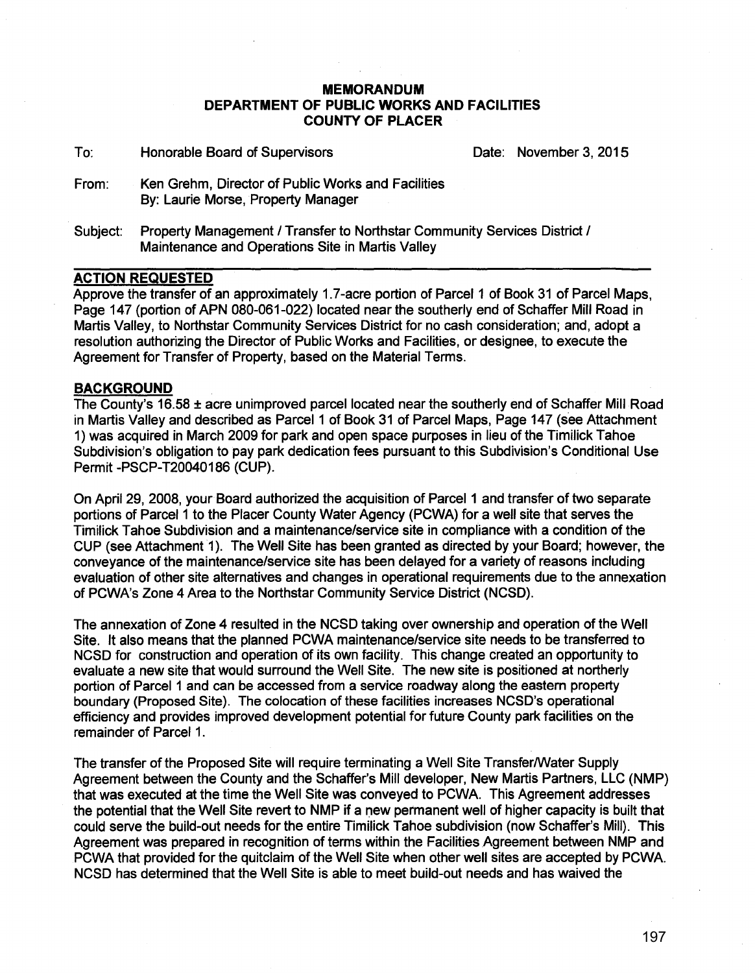### MEMORANDUM DEPARTMENT OF PUBLIC WORKS AND FACILITIES COUNTY OF PLACER

To: Honorable Board of Supervisors

Date: November 3, 2015

- From: Ken Grehm, Director of Public Works and Facilities By: Laurie Morse, Property Manager
- Subject: Property Management / Transfer to Northstar Community Services District / Maintenance and Operations Site in Martis Valley

### ACTION REQUESTED

Approve the transfer of an approximately 1.7-acre portion of Parcel 1 of Book 31 of Parcel Maps, Page 147 (portion of APN 080-061-022) located near the southerly end of Schaffer Mill Road in Martis Valley, to Northstar Community Services District for no cash consideration; and, adopt a resolution authorizing the Director of Public Works and Facilities, or designee, to execute the Agreement for Transfer of Property, based on the Material Terms.

### BACKGROUND

The County's 16.58 ± acre unimproved parcel located near the southerly end of Schaffer Mill Road in Martis Valley and described as Parcel 1 of Book 31 of Parcel Maps, Page 147 (see Attachment 1) was acquired in March 2009 for park and open space purposes in lieu of the Timilick Tahoe Subdivision's obligation to pay park dedication fees pursuant to this Subdivision's Conditional Use Permit -PSCP-T20040186 (CUP).

On April 29, 2008, your Board authorized the acquisition of Parcel 1 and transfer of two separate portions of Parcel 1 to the Placer County Water Agency (PCWA) for a well site that serves the Timilick Tahoe Subdivision and a maintenance/service site in compliance with a condition of the CUP (see Attachment 1). The Well Site has been granted as directed by your Board; however, the conveyance of the maintenance/service site has been delayed for a variety of reasons including evaluation of other site alternatives and changes in operational requirements due to the annexation of PCWA's Zone 4 Area to the Northstar Community Service District (NCSD).

The annexation of Zone 4 resulted in the NCSD taking over ownership and operation of the Well Site. It also means that the planned PCWA maintenance/service site needs to be transferred to NCSD for construction and operation of its own facility. This change created an opportunity to evaluate a new site that would surround the Well Site. The new site is positioned at northerly portion of Parcel 1 and can be accessed from a service roadway along the eastern property boundary (Proposed Site). The colocation of these facilities increases NCSD's operational efficiency and provides improved development potential for future County park facilities on the remainder of Parcel 1.

The transfer of the Proposed Site will require terminating a Well Site Transfer/Water Supply Agreement between the County and the Schaffer's Mill developer, New Martis Partners, LLC (NMP) that was executed at the time the Well Site was conveyed to PCWA. This Agreement addresses the potential that the Well Site revert to NMP if a new permanent well of higher capacity is built that could serve the build-out needs for the entire Timilick Tahoe subdivision (now Schaffer's Mill). This Agreement was prepared in recognition of terms within the Facilities Agreement between NMP and PCWA that provided for the quitclaim of the Well Site when other well sites are accepted by PCWA. NCSD has determined that the Well Site is able to meet build-out needs and has waived the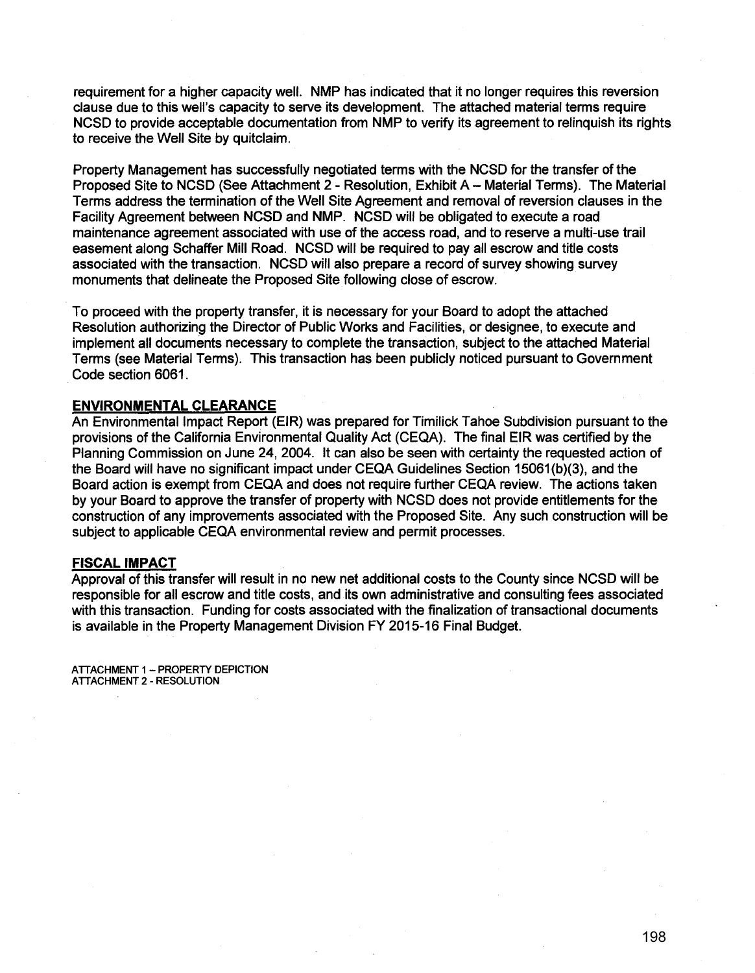requirement for a higher capacity well. NMP has indicated that it no longer requires this reversion clause due to this well's capacity to serve its development. The attached material terms require NCSD to provide acceptable documentation from NMP to verify its agreement to relinquish its rights to receive the Well Site by quitclaim.

Property Management has successfully negotiated terms with the NCSD for the transfer of the Proposed Site to NCSD (See Attachment 2 - Resolution, Exhibit A- Material Terms). The Material Terms address the termination of the Well Site Agreement and removal of reversion clauses in the Facility Agreement between NCSD and NMP. NCSD will be obligated to execute a road maintenance agreement associated with use of the access road, and to reserve a multi-use trail easement along Schaffer Mill Road. NCSD will be required to pay all escrow and title costs associated with the transaction. NCSD will also prepare a record of survey showing survey monuments that delineate the Proposed Site following close of escrow.

To proceed with the property transfer, it is necessary for your Board to adopt the attached Resolution authorizing the Director of Public Works and Facilities, or designee, to execute and implement all documents necessary to complete the transaction, subject to the attached Material Terms (see Material Terms). This transaction has been publicly noticed pursuant to Government Code section 6061.

### ENVIRONMENTAL CLEARANCE

An Environmental Impact Report (EIR) was prepared for Timilick Tahoe Subdivision pursuant to the provisions of the California Environmental Quality Act (CEQA). The final EIR was certified by the Planning Commission on June 24, 2004. It can also be seen with certainty the requested action of the Board will have no significant impact under CEQA Guidelines Section 15061(b)(3), and the Board action is exempt from CEQA and does not require further CEQA review. The actions taken by your Board to approve the transfer of property with NCSD does not provide entitlements for the construction of any improvements associated with the Proposed Site. Any such construction will be subject to applicable CEQA environmental review and permit processes.

#### FISCAL IMPACT

Approval of this transfer will result in no new net additional costs to the County since NCSD will be responsible for all escrow and title costs, and its own administrative and consulting fees associated with this transaction. Funding for costs associated with the finalization of transactional documents is available in the Property Management Division FY 2015-16 Final Budget.

ATTACHMENT 1 - PROPERTY DEPICTION ATTACHMENT 2 -RESOLUTION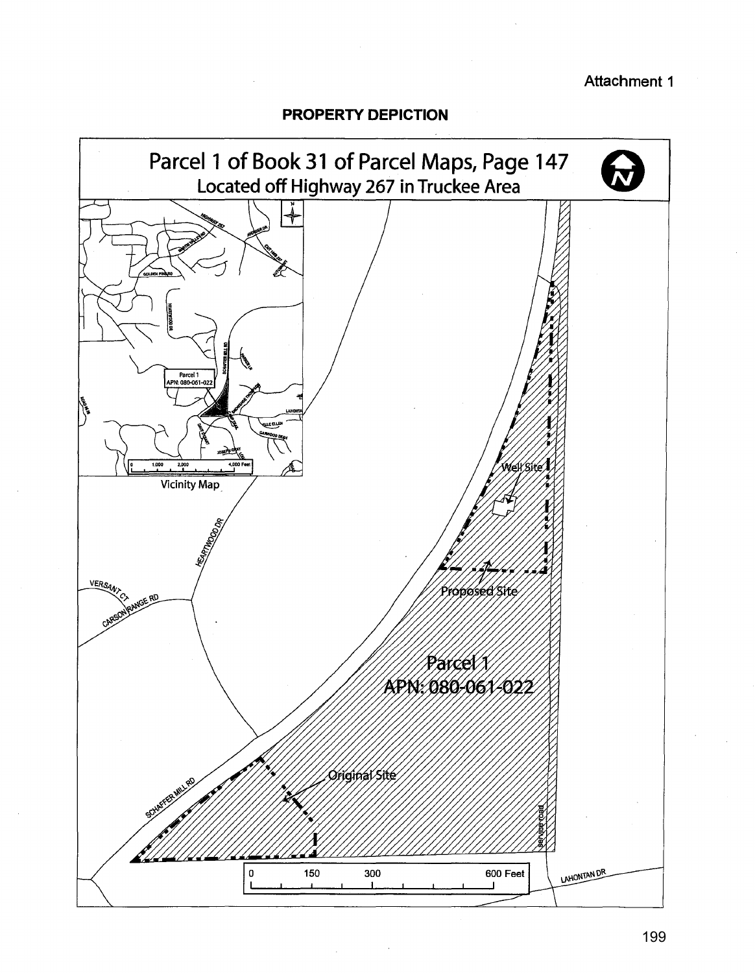### Attachment 1

PROPERTY DEPICTION

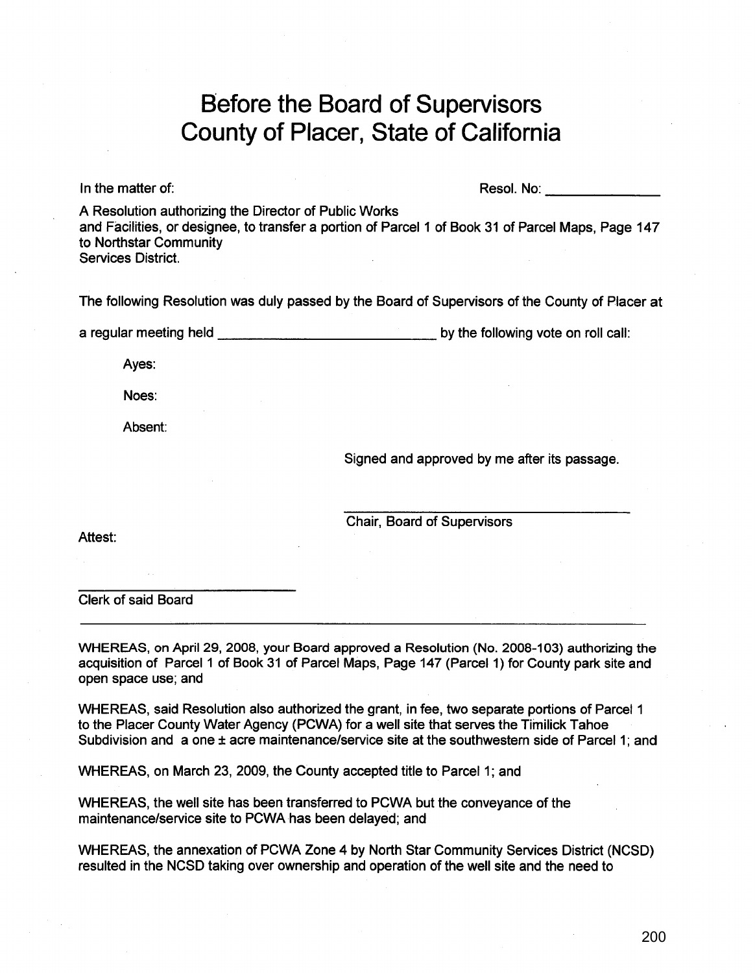# **Before the Board of Supervisors County of Placer, State of California**

In the matter of:

Resol. No: \_\_\_\_\_\_\_\_\_\_\_\_\_\_\_\_\_\_

A Resolution authorizing the Director of Public Works and Facilities, or designee, to transfer a portion of Parcel1 of Book 31 of Parcel Maps, Page 147 to Northstar Community Services District.

The following Resolution was duly passed by the Board of Supervisors of the County of Placer at

a regular meeting held **All Accord Container and Container** by the following vote on roll call:

Ayes:

Noes:

Absent:

Signed and approved by me after its passage.

Attest:

Chair, Board of Supervisors

Clerk of said Board

WHEREAS, on April29, 2008, your Board approved a Resolution (No. 2008-103) authorizing the acquisition of Parcel 1 of Book 31 of Parcel Maps, Page 147 (Parcel 1) for County park site and open space use; and

WHEREAS, said Resolution also authorized the grant, in fee, two separate portions of Parcel 1 to the Placer County Water Agency (PCWA) for a well site that serves the Timilick Tahoe Subdivision and a one ± acre maintenance/service site at the southwestern side of Parcel 1; and

WHEREAS, on March 23, 2009, the County accepted title to Parcel 1; and

WHEREAS, the well site has been transferred to PCWA but the conveyance of the maintenance/service site to PCWA has been delayed; and

WHEREAS, the annexation of PCWA Zone 4 by North Star Community Services District (NCSD) resulted in the NCSD taking over ownership and operation of the well site and the need to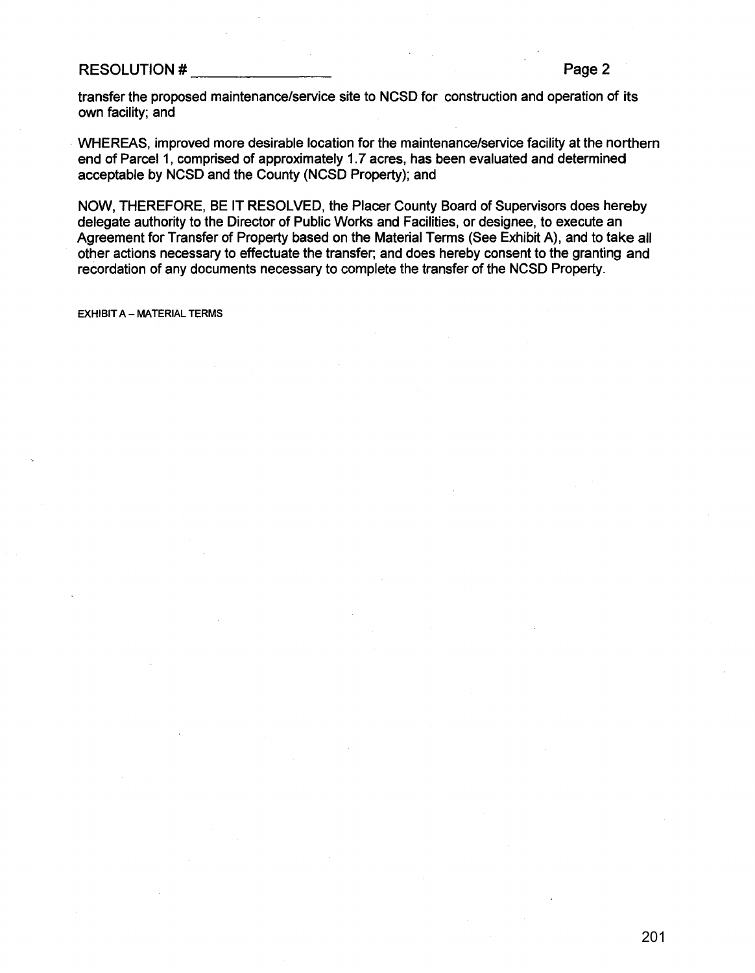# RESOLUTION# \_\_\_\_\_\_ \_ Page2

transfer the proposed maintenance/service site to NCSD for construction and operation of its own facility; and

· WHEREAS, improved more desirable location for the maintenance/service facility at the northern end of Parcel 1, comprised of approximately 1.7 acres, has been evaluated and determined acceptable by NCSD and the County (NCSD Property); and

NOW, THEREFORE, BE IT RESOLVED, the Placer County Board of Supervisors does hereby delegate authority to the Director of Public Works and Facilities, or designee, to execute an Agreement for Transfer of Property based on the Material Terms (See Exhibit A), and to take all other actions necessary to effectuate the transfer; and does hereby consent to the granting and recordation of any documents necessary to complete the transfer of the NCSD Property.

EXHIBIT A- MATERIAL TERMS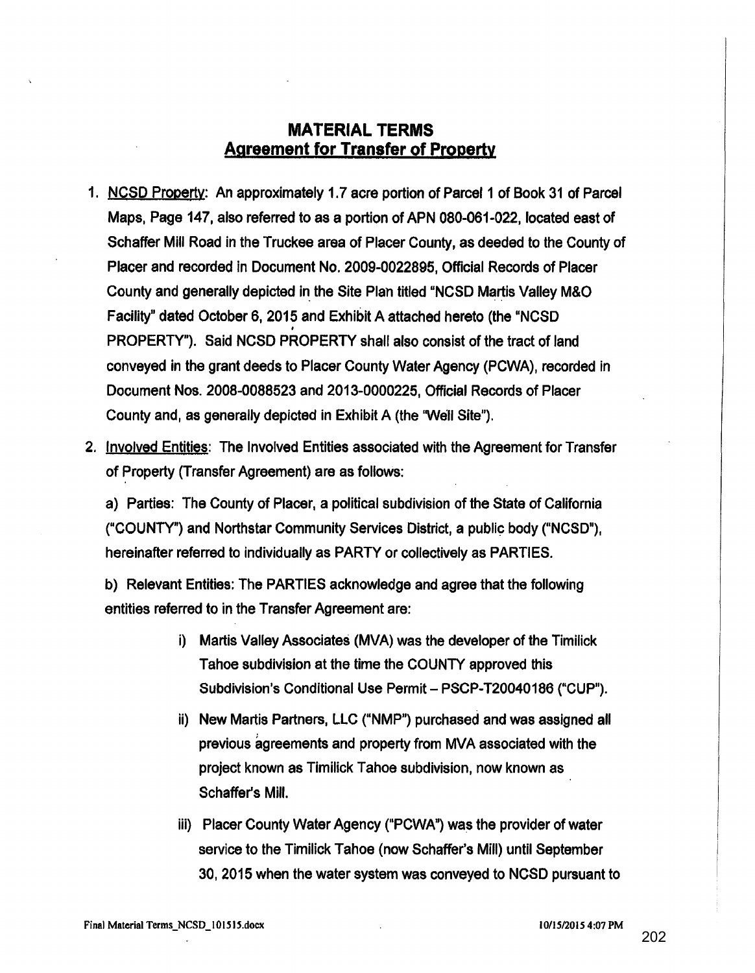## **MATERIAL TERMS Agreement for Transfer of Property**

- 1. NCSD Property: An approximately 1.7 acre portion of Parcel1 of Book 31 of Parcel Maps, Page 147, also referred to as a portion of APN 080-061-022, located east of Schaffer Mill Road in the Truckee area of Placer County, as deeded to the County of Placer and recorded in Document No. 2009-0022895, Official Records of Placer County and generally depicted in\_ the Site Plan titled "NCSD Martis Valley M&O Facility'' dated October 6, 2015 and Exhibit A attached hereto (the "NCSD ' PROPERTY"). Said NCSD PROPERTY shall also consist of the tract of land conveyed in the grant deeds to Placer County Water Agency (PCWA), recorded in Document Nos. 2008-0088523 and 2013-0000225, Official Records of Placer County and, as generally depicted in Exhibit A (the 'Well Site").
- 2. Involved Entities: The Involved Entities associated with the Agreement for Transfer of Property (Transfer Agreement) are as follows:

a) Parties: The County of Placer, a political subdivision of the State of California ("COUNTY") and Northstar Community Services District, a public body ("NCSD"), hereinafter referred to individually as PARTY or collectively as PARTIES.

b) Relevant Entities: The PARTIES acknowledge and agree that the following entities referred to in the Transfer Agreement are:

- i) Martis Valley Associates (MVA) was the developer of the Timilick Tahoe subdivision at the time the COUNTY approved this Subdivision's Conditional Use Permit - PSCP-T20040186 ("CUP").
- ii) New Martis Partners, LLC ("NMP") purchased and was assigned all previous agreements and property from MVA associated with the project known as Timilick Tahoe subdivision, now known as Schaffer's Mill.
- iii) Placer County Water Agency ("PCWA") was the provider of water service to the Timilick Tahoe (now Schaffer's Mill) until September 30, 2015 when the water system was conveyed to NCSD pursuant to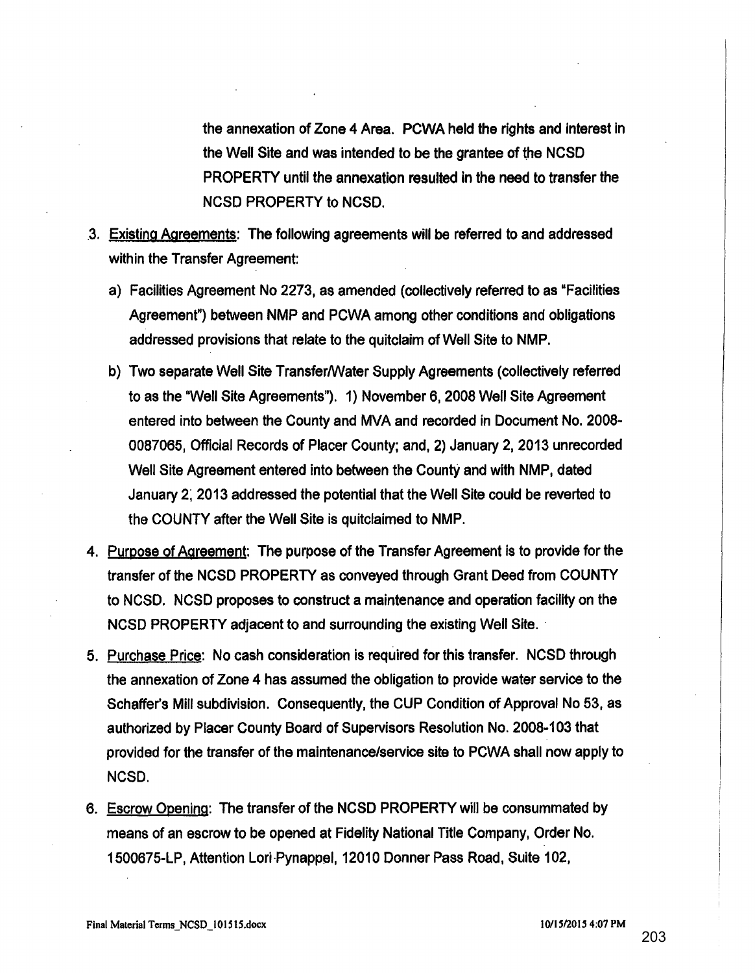the annexation of Zone 4 Area. PCWA held the rights and interest in the Well Site and was intended to be the grantee of the NCSD PROPERTY until the annexation resulted in the need to transfer the NCSD PROPERTY to NCSD.

- . 3. Existing Agreements: The following agreements will be referred to and addressed within the Transfer Agreement:
	- a) Facilities Agreement No 2273, as amended (collectively referred to as "Facilities Agreement") between NMP and PCWA among other conditions and obligations addressed provisions that relate to the quitclaim of Well Site to NMP.
	- b) Two separate Well Site Transfer/Water Supply Agreements (collectively referred to as the "Well Site Agreements"). 1) November 6, 2008 Well Site Agreement entered into between the County and MVA and recorded in Document No. 2008- 0087065, Official Records of Placer County; and, 2) January 2, 2013 unrecorded Well Site Agreement entered into between the County and with NMP, dated January 2; 2013 addressed the potential that the Well Site could be reverted to the COUNTY after the Well Site is quitclaimed to NMP.
- 4. Purpose of Agreement: The purpose of the Transfer Agreement is to provide for the transfer of the NCSD PROPERTY as conveyed through Grant Deed from COUNTY to NCSD. NCSD proposes to construct a maintenance and operation facility on the NCSD PROPERTY adjacent to and surrounding the existing Well Site. ·
- 5. Purchase Price: No cash consideration is required for this transfer. NCSD through the annexation of Zone 4 has assumed the obligation to provide water service to the Schaffer's Mill subdivision. Consequently, the CUP Condition of Approval No 53, as authorized by Placer County Board of Supervisors Resolution No. 2008-103 that provided for the transfer of the maintenance/service site to PCWA shall now apply to NCSD.
- 6. Escrow Opening: The transfer of the NCSD PROPERTY will be consummated by means of an escrow to be opened at Fidelity National Title Company, Order No. 1500675-LP, Attention Lori-Pynappel, 12010 Donner Pass Road, Suite 102,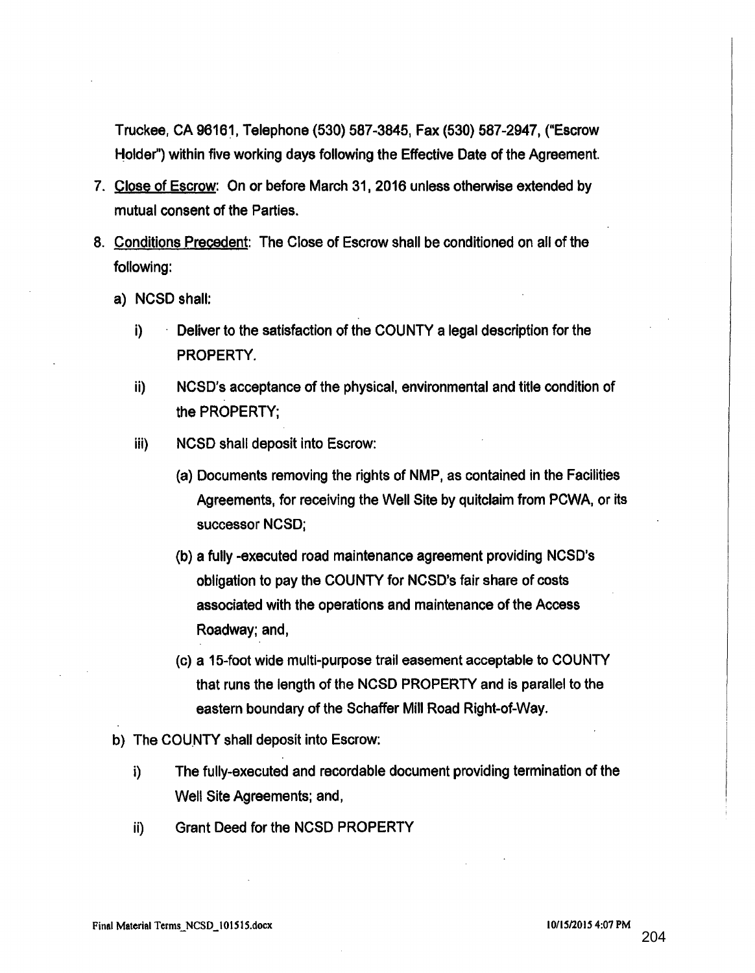Truckee, CA 96161, Telephone (530) 587-3845, Fax (530) 587-2947, ("Escrow Holder'') within five working days following the Effective Date of the Agreement.

- 7. Close of Escrow: On or before March 31, 2016 unless otherwise extended by mutual consent of the Parties.
- 8. Conditions Precedent: The Close of Escrow shall be conditioned on all of the following:
	- a) NCSD shall:
		- i) Deliver to the satisfaction of the COUNTY a legal description for the PROPERTY.
		- ii) NCSD's acceptance of the physical, environmental and title condition of the PROPERTY;
		- iii) NCSD shall deposit into Escrow:
			- (a) Documents removing the rights of NMP, as contained in the Facilities Agreements, for receiving the Well Site by quitclaim from PCWA, or its successor NCSD;
			- (b) a fully -executed road maintenance agreement providing NCSD's obligation to pay the COUNTY for NCSD's fair share of costs associated with the operations and maintenance of the Access Roadway; and,
			- (c) a 15-foot wide multi-purpose trail easement acceptable to COUNTY that runs the length of the NCSD PROPERTY and is parallel to the eastern boundary of the Schaffer Mill Road Right-of-Way.
	- b) The COUNTY shall deposit into Escrow:
		- i) The fully-executed and recordable document providing termination of the Well Site Agreements; and,
		- ii) Grant Deed for the NCSD PROPERTY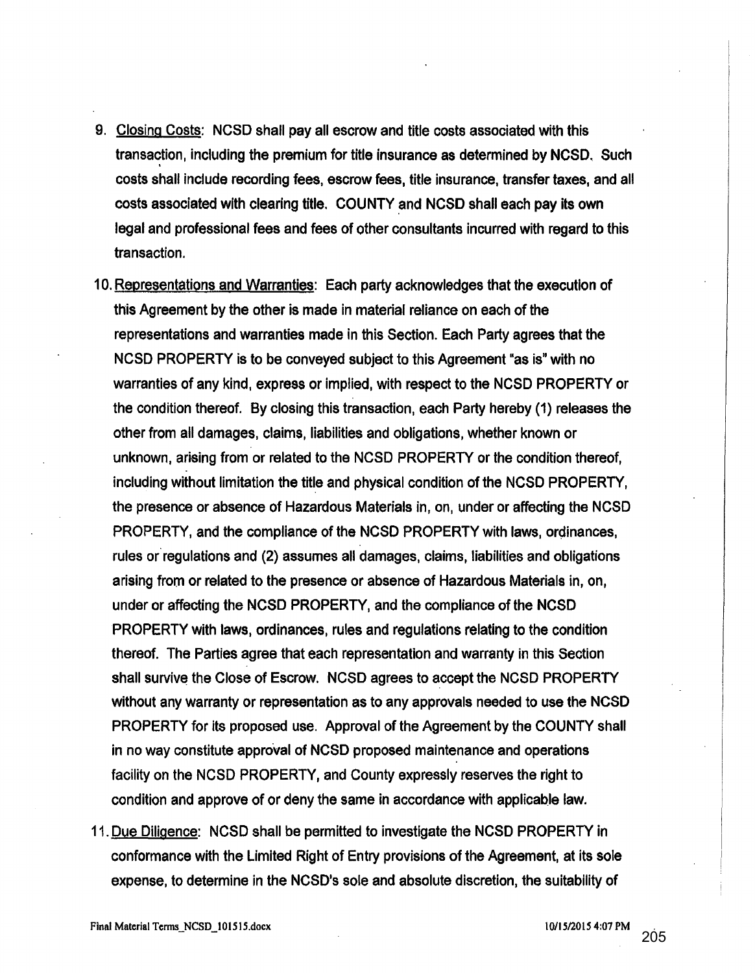- 9. Closing Costs: NCSD shall pay all escrow and title costs associated with this transaction, including the premium for title insurance as determined by NCSD. Such costs shall include recording fees, escrow fees, title insurance, transfer taxes, and all costs associated with clearing title. COUNTY and NCSD shall each pay its own legal and professional fees and fees of other consultants incurred with regard to this transaction.
- 10. Representations and Warranties: Each party acknowledges that the execution of this Agreement by the other is made in material reliance on each of the representations and warranties made in this Section. Each Party agrees that the NCSD PROPERTY is to be conveyed subject to this Agreement "as is" with no warranties of any kind, express or implied, with respect to the NCSD PROPERTY or the condition thereof. By closing this transaction, each Party hereby (1) releases the other from all damages, claims, liabilities and obligations, whether known or unknown, arising from or related to the NCSD PROPERTY or the condition thereof, including without limitation the title and physical condition of the NCSD PROPERTY, the presence or absence of Hazardous Materials in, on, under or affecting the NCSD PROPERTY, and the compliance of the NCSD PROPERTY with laws, ordinances, rules or regulations and (2) assumes all damages, claims, liabilities and obligations arising from or related to the presence or absence of Hazardous Materials in, on, under or affecting the NCSD PROPERTY, and the compliance of the NCSD PROPERTY with laws, ordinances, rules and regulations relating to the condition thereof. The Parties agree that each representation and warranty in this Section shall survive the Close of Escrow. NCSD agrees to accept the NCSD PROPERTY without any warranty or representation as to any approvals needed to use the NCSD PROPERTY for its proposed use. Approval of the Agreement by the COUNTY shall in no way constitute approval of NCSD proposed maintenance and operations facility on the NCSD PROPERTY, and County expressly reserves the right to condition and approve of or deny the same in accordance with applicable law.
- 11. Due Diligence: NCSD shall be permitted to investigate the NCSD PROPERTY in conformance with the Limited Right of Entry provisions of the Agreement, at its sole expense, to determine in the NCSD's sole and absolute discretion, the suitability of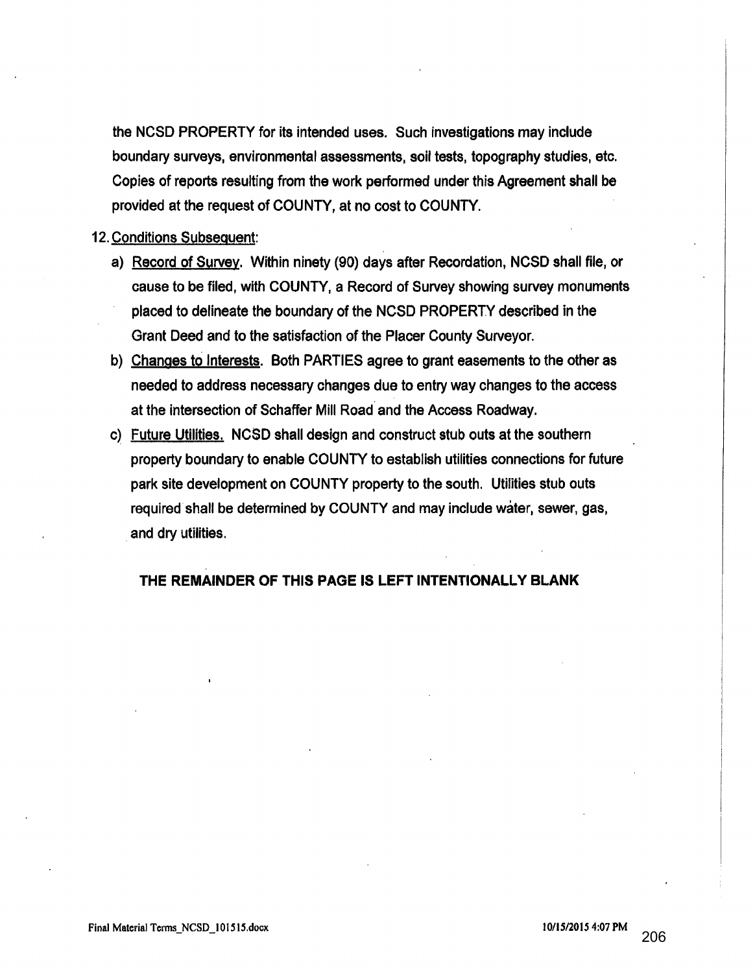the NCSD PROPERTY for its intended uses. Such Investigations may include boundary surveys, environmental assessments, soil tests, topography studies, etc. Copies of reports resulting from the work performed under this Agreement shall be provided at the request of COUNTY, at no cost to COUNTY.

### 12. Conditions Subsequent:

- a) Record of Survey. Within ninety (90) days after Recordation, NCSD shall file, or cause to be filed, with COUNTY, a Record of Survey showing survey monuments placed to delineate the boundary of the NCSD PROPERTY described in the Grant Deed and to the satisfaction of the Placer County Surveyor.
- b) Changes to Interests. Both PARTIES agree to grant easements to the other as needed to address necessary changes due to entry way changes to the access at the intersection of Schaffer Mill Road and the Access Roadway.
- c) Future Utilities. NCSD shall design and construct stub outs at the southern property boundary to enable COUNTY to establish utilities connections for future park site development on COUNTY property to the south. Utilities stub outs required shall be determined by COUNTY and may include water, sewer, gas, and dry utilities.

### THE REMAINDER OF THIS PAGE IS LEFT INTENTIONALLY BLANK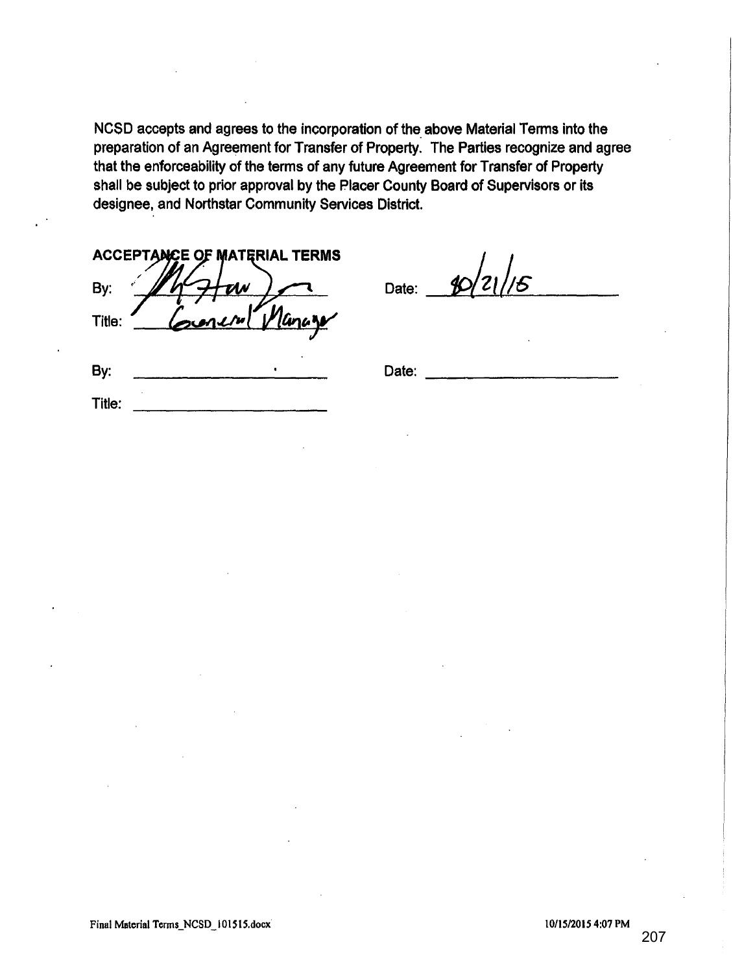NCSD accepts and agrees to the incorporation of the above Material Terms into the preparation of an Agreement for Transfer of Property. The Parties recognize and agree that the enforceability of the terms of any future Agreement for Transfer of Property shall be subject to prior approval by the Placer County Board of Supervisors or its designee, and Northstar Community Services District.

| <b>ACCEPTANCE OF MATERIAL TERMS</b> |       |
|-------------------------------------|-------|
| Bv                                  | Date: |
| Manare<br>Title:<br>ountry          |       |

| Date: | 10/21/15 |
|-------|----------|

By: Date: ----------

Title: